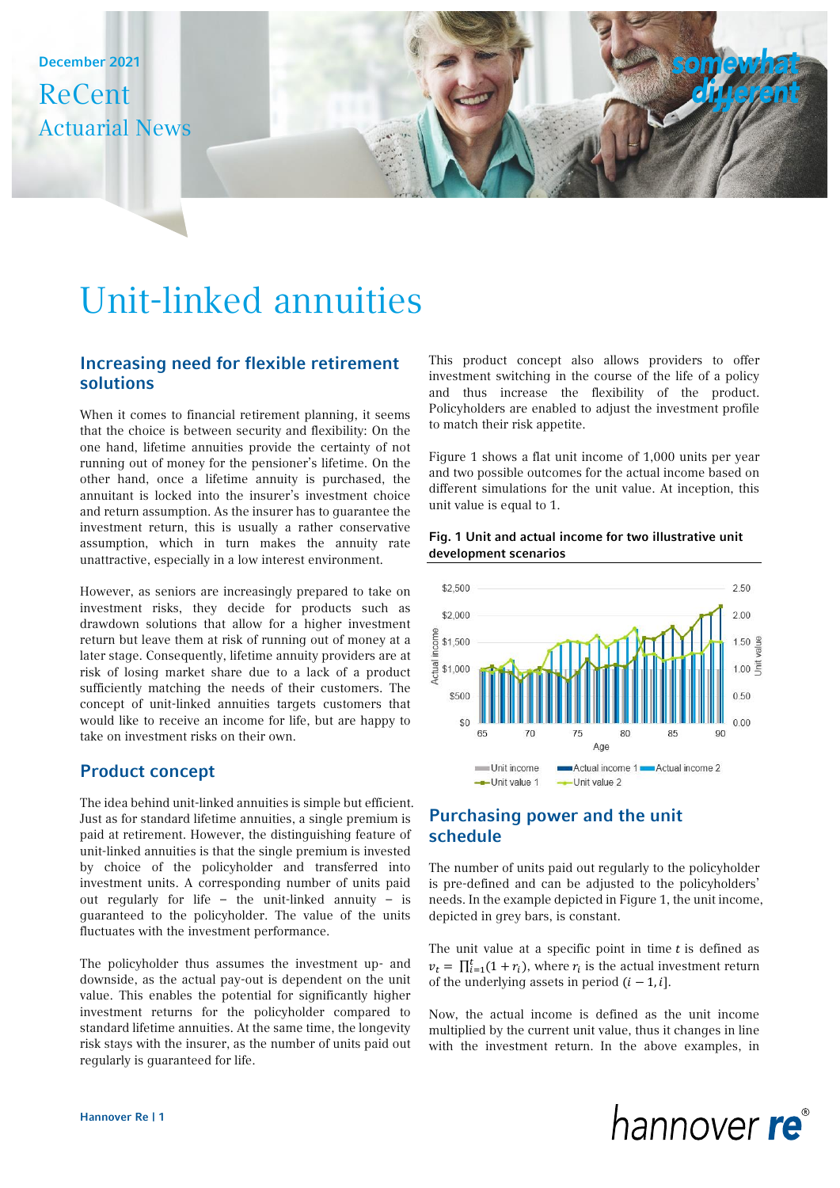December 2021 ReCent Actuarial News

# Unit-linked annuities

# Increasing need for flexible retirement solutions

When it comes to financial retirement planning, it seems that the choice is between security and flexibility: On the one hand, lifetime annuities provide the certainty of not running out of money for the pensioner's lifetime. On the other hand, once a lifetime annuity is purchased, the annuitant is locked into the insurer's investment choice and return assumption. As the insurer has to guarantee the investment return, this is usually a rather conservative assumption, which in turn makes the annuity rate unattractive, especially in a low interest environment.

However, as seniors are increasingly prepared to take on investment risks, they decide for products such as drawdown solutions that allow for a higher investment return but leave them at risk of running out of money at a later stage. Consequently, lifetime annuity providers are at risk of losing market share due to a lack of a product sufficiently matching the needs of their customers. The concept of unit-linked annuities targets customers that would like to receive an income for life, but are happy to take on investment risks on their own.

# Product concept

The idea behind unit-linked annuities is simple but efficient. Just as for standard lifetime annuities, a single premium is paid at retirement. However, the distinguishing feature of unit-linked annuities is that the single premium is invested by choice of the policyholder and transferred into investment units. A corresponding number of units paid out regularly for life – the unit-linked annuity – is guaranteed to the policyholder. The value of the units fluctuates with the investment performance.

The policyholder thus assumes the investment up- and downside, as the actual pay-out is dependent on the unit value. This enables the potential for significantly higher investment returns for the policyholder compared to standard lifetime annuities. At the same time, the longevity risk stays with the insurer, as the number of units paid out regularly is guaranteed for life.

This product concept also allows providers to offer investment switching in the course of the life of a policy and thus increase the flexibility of the product. Policyholders are enabled to adjust the investment profile to match their risk appetite.

Figure 1 shows a flat unit income of 1,000 units per year and two possible outcomes for the actual income based on different simulations for the unit value. At inception, this unit value is equal to 1.

## Fig. 1 Unit and actual income for two illustrative unit development scenarios



# Purchasing power and the unit schedule

The number of units paid out regularly to the policyholder is pre-defined and can be adjusted to the policyholders' needs. In the example depicted in Figure 1, the unit income, depicted in grey bars, is constant.

The unit value at a specific point in time  $t$  is defined as  $v_t = \prod_{i=1}^t (1 + r_i)$ , where  $r_i$  is the actual investment return of the underlying assets in period  $(i - 1, i]$ .

Now, the actual income is defined as the unit income multiplied by the current unit value, thus it changes in line with the investment return. In the above examples, in

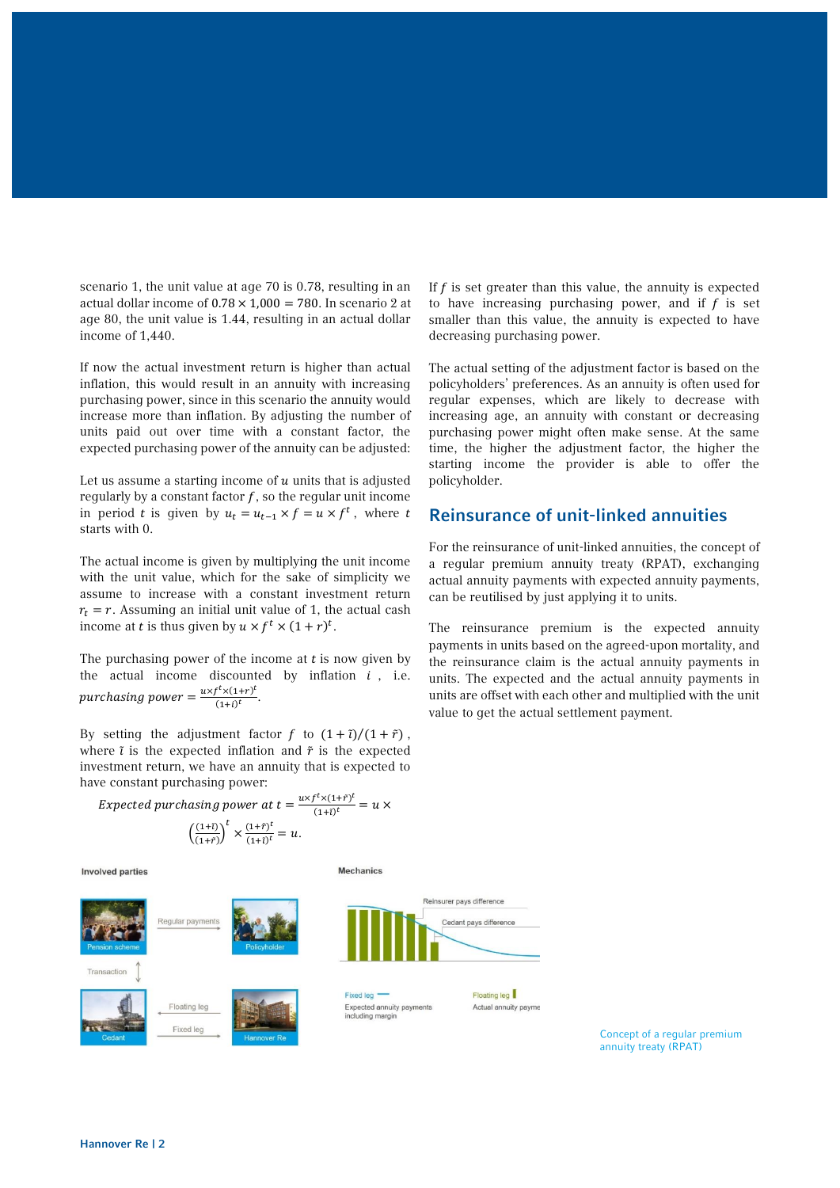scenario 1, the unit value at age 70 is 0.78, resulting in an actual dollar income of  $0.78 \times 1,000 = 780$ . In scenario 2 at age 80, the unit value is 1.44, resulting in an actual dollar income of 1,440.

If now the actual investment return is higher than actual inflation, this would result in an annuity with increasing purchasing power, since in this scenario the annuity would increase more than inflation. By adjusting the number of units paid out over time with a constant factor, the expected purchasing power of the annuity can be adjusted:

Let us assume a starting income of  $u$  units that is adjusted regularly by a constant factor  $f$ , so the regular unit income in period *t* is given by  $u_t = u_{t-1} \times f = u \times f^t$ , where *t* starts with 0.

The actual income is given by multiplying the unit income with the unit value, which for the sake of simplicity we assume to increase with a constant investment return  $r_t = r$ . Assuming an initial unit value of 1, the actual cash income at *t* is thus given by  $u \times f^t \times (1+r)^t$ .

The purchasing power of the income at  $t$  is now given by the actual income discounted by inflation  $i$ , i.e. purchasing power =  $\frac{uxf^t x(1+r)^t}{(1+r)^t}$  $\frac{(1+i)^t}{(1+i)^t}.$ 

By setting the adjustment factor f to  $(1 + \tilde{t})/(1 + \tilde{r})$ , where  $\tilde{i}$  is the expected inflation and  $\tilde{r}$  is the expected investment return, we have an annuity that is expected to have constant purchasing power:

If  $f$  is set greater than this value, the annuity is expected to have increasing purchasing power, and if  $f$  is set smaller than this value, the annuity is expected to have decreasing purchasing power.

The actual setting of the adjustment factor is based on the policyholders' preferences. As an annuity is often used for regular expenses, which are likely to decrease with increasing age, an annuity with constant or decreasing purchasing power might often make sense. At the same time, the higher the adjustment factor, the higher the starting income the provider is able to offer the policyholder.

## Reinsurance of unit-linked annuities

For the reinsurance of unit-linked annuities, the concept of a regular premium annuity treaty (RPAT), exchanging actual annuity payments with expected annuity payments, can be reutilised by just applying it to units.

The reinsurance premium is the expected annuity payments in units based on the agreed-upon mortality, and the reinsurance claim is the actual annuity payments in units. The expected and the actual annuity payments in units are offset with each other and multiplied with the unit value to get the actual settlement payment.

Expected purchasing power at  $t = \frac{uxf^t \times (1+\tilde{r})^t}{(1+\tilde{r})^t}$  $\frac{(\lambda(1+i))}{(1+i)^t} = u \times$  $\left(\frac{(1+i)}{(1+i)}\right)$  $\frac{(1+i)}{(1+i)}\right)^t \times \frac{(1+i)^t}{(1+i)^t}$  $\frac{(1+t)}{(1+t)^t} = u.$ 

**Involved parties** 



**Mechanics** 

Concept of a regular premium annuity treaty (RPAT)